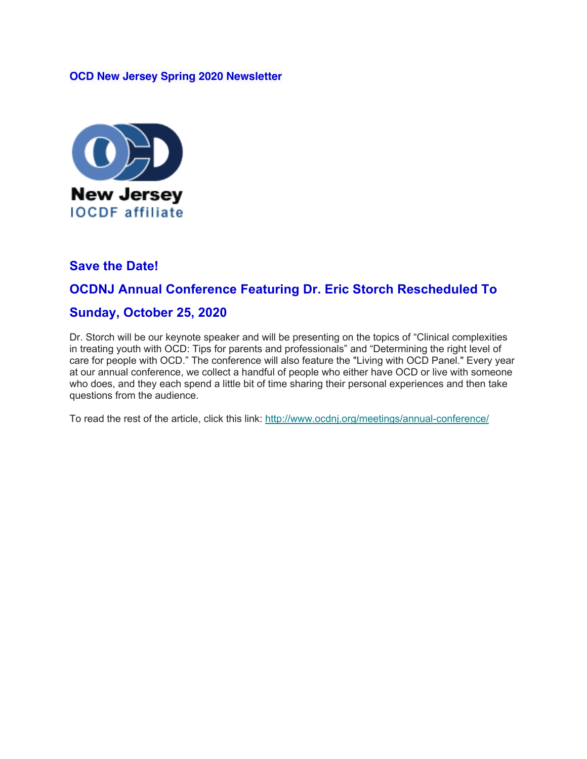#### **OCD New Jersey Spring 2020 Newsletter**



#### **Save the Date!**

### **OCDNJ Annual Conference Featuring Dr. Eric Storch Rescheduled To**

#### **Sunday, October 25, 2020**

Dr. Storch will be our keynote speaker and will be presenting on the topics of "Clinical complexities in treating youth with OCD: Tips for parents and professionals" and "Determining the right level of care for people with OCD." The conference will also feature the "Living with OCD Panel." Every year at our annual conference, we collect a handful of people who either have OCD or live with someone who does, and they each spend a little bit of time sharing their personal experiences and then take questions from the audience.

To read the rest of the article, click this link: http://www.ocdnj.org/meetings/annual-conference/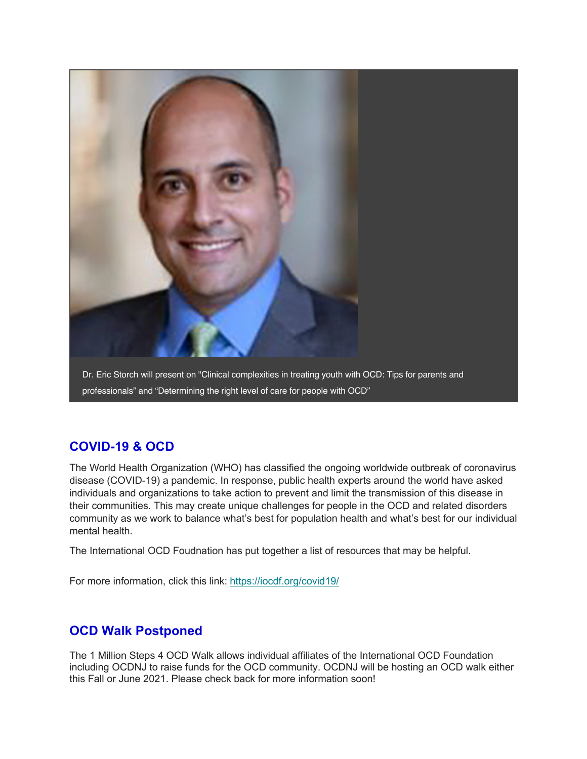

# **COVID-19 & OCD**

The World Health Organization (WHO) has classified the ongoing worldwide outbreak of coronavirus disease (COVID-19) a pandemic. In response, public health experts around the world have asked individuals and organizations to take action to prevent and limit the transmission of this disease in their communities. This may create unique challenges for people in the OCD and related disorders community as we work to balance what's best for population health and what's best for our individual mental health.

The International OCD Foudnation has put together a list of resources that may be helpful.

For more information, click this link: https://iocdf.org/covid19/

### **OCD Walk Postponed**

The 1 Million Steps 4 OCD Walk allows individual affiliates of the International OCD Foundation including OCDNJ to raise funds for the OCD community. OCDNJ will be hosting an OCD walk either this Fall or June 2021. Please check back for more information soon!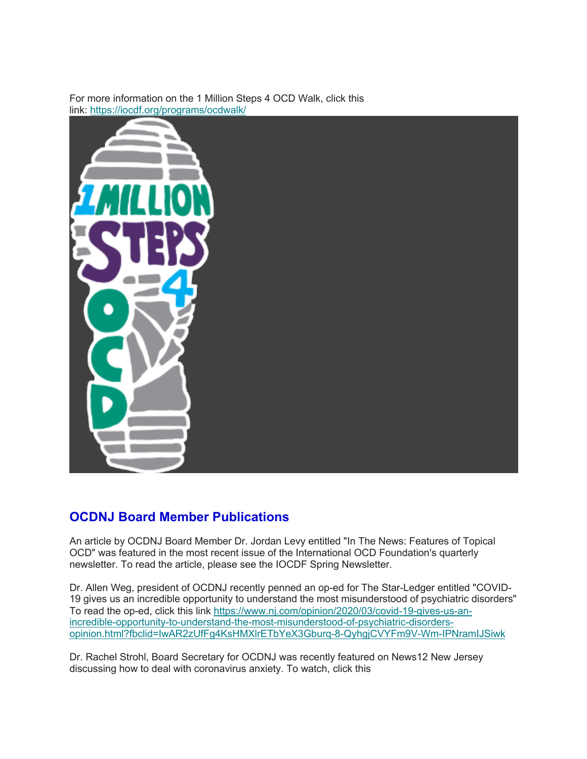For more information on the 1 Million Steps 4 OCD Walk, click this link: https://iocdf.org/programs/ocdwalk/



### **OCDNJ Board Member Publications**

An article by OCDNJ Board Member Dr. Jordan Levy entitled "In The News: Features of Topical OCD" was featured in the most recent issue of the International OCD Foundation's quarterly newsletter. To read the article, please see the IOCDF Spring Newsletter.

Dr. Allen Weg, president of OCDNJ recently penned an op-ed for The Star-Ledger entitled "COVID-19 gives us an incredible opportunity to understand the most misunderstood of psychiatric disorders" To read the op-ed, click this link https://www.nj.com/opinion/2020/03/covid-19-gives-us-anincredible-opportunity-to-understand-the-most-misunderstood-of-psychiatric-disordersopinion.html?fbclid=IwAR2zUfFg4KsHMXlrETbYeX3Gburq-8-QyhgjCVYFm9V-Wm-IPNramIJSiwk

Dr. Rachel Strohl, Board Secretary for OCDNJ was recently featured on News12 New Jersey discussing how to deal with coronavirus anxiety. To watch, click this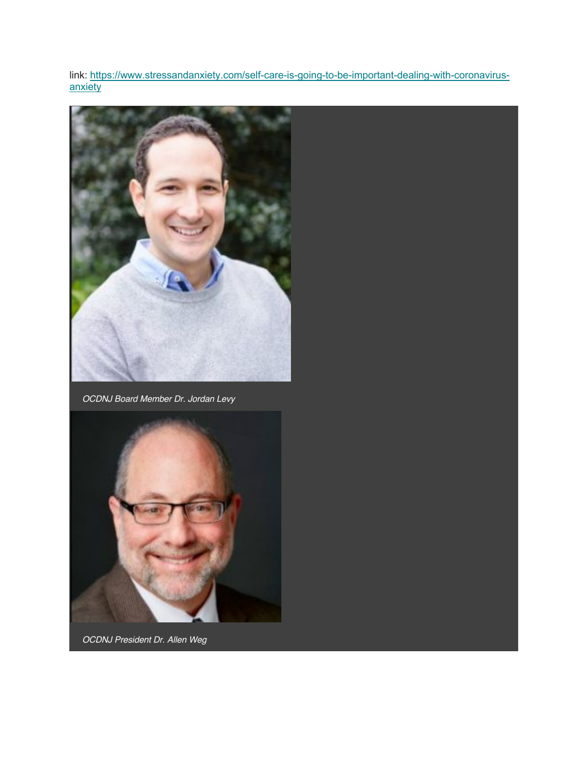link: https://www.stressandanxiety.com/self-care-is-going-to-be-important-dealing-with-coronavirusanxiety



*OCDNJ Board Member Dr. Jordan Levy*



*OCDNJ President Dr. Allen Weg*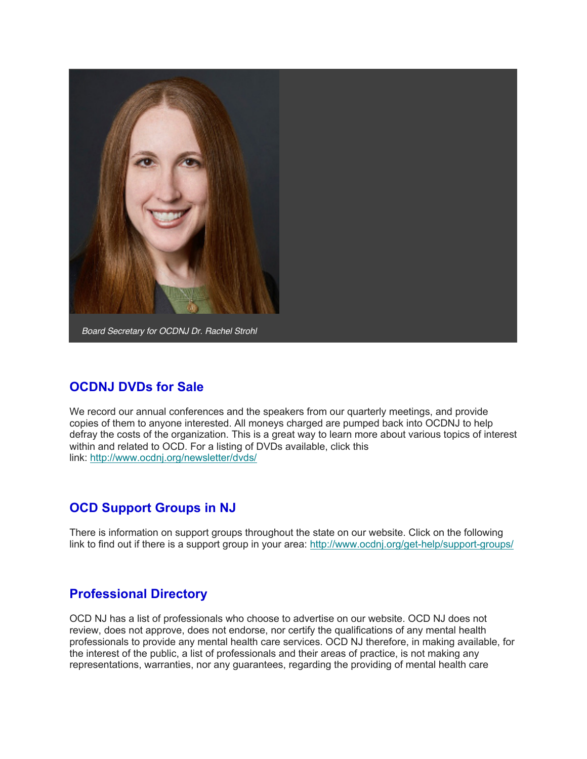

## **OCDNJ DVDs for Sale**

We record our annual conferences and the speakers from our quarterly meetings, and provide copies of them to anyone interested. All moneys charged are pumped back into OCDNJ to help defray the costs of the organization. This is a great way to learn more about various topics of interest within and related to OCD. For a listing of DVDs available, click this link: http://www.ocdnj.org/newsletter/dvds/

## **OCD Support Groups in NJ**

There is information on support groups throughout the state on our website. Click on the following link to find out if there is a support group in your area: http://www.ocdnj.org/get-help/support-groups/

# **Professional Directory**

OCD NJ has a list of professionals who choose to advertise on our website. OCD NJ does not review, does not approve, does not endorse, nor certify the qualifications of any mental health professionals to provide any mental health care services. OCD NJ therefore, in making available, for the interest of the public, a list of professionals and their areas of practice, is not making any representations, warranties, nor any guarantees, regarding the providing of mental health care